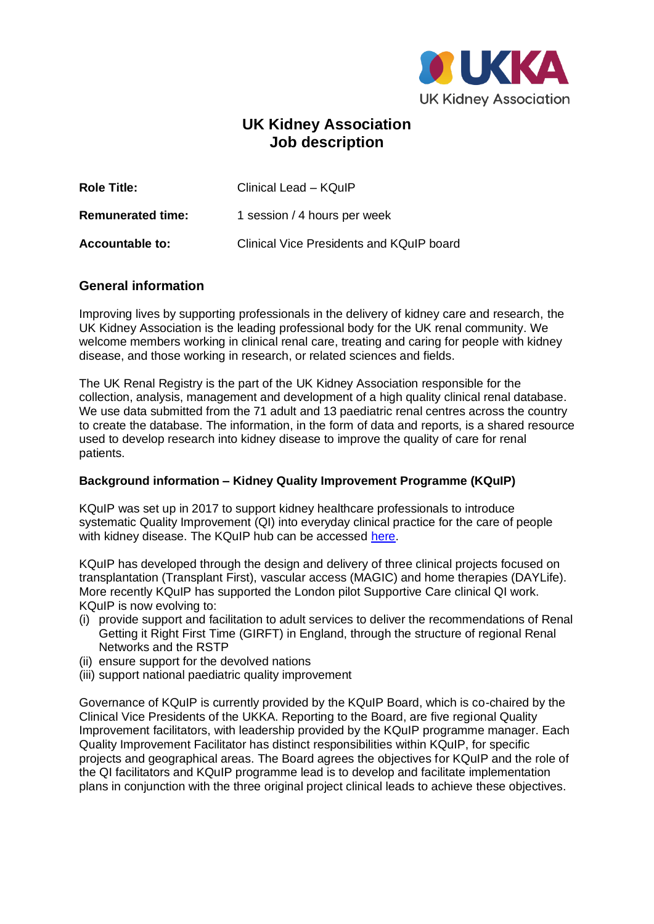

# **UK Kidney Association Job description**

| <b>Role Title:</b>       | Clinical Lead - KQuIP                    |
|--------------------------|------------------------------------------|
| <b>Remunerated time:</b> | 1 session / 4 hours per week             |
| <b>Accountable to:</b>   | Clinical Vice Presidents and KQuIP board |

## **General information**

Improving lives by supporting professionals in the delivery of kidney care and research, the UK Kidney Association is the leading professional body for the UK renal community. We welcome members working in clinical renal care, treating and caring for people with kidney disease, and those working in research, or related sciences and fields.

The UK Renal Registry is the part of the UK Kidney Association responsible for the collection, analysis, management and development of a high quality clinical renal database. We use data submitted from the 71 adult and 13 paediatric renal centres across the country to create the database. The information, in the form of data and reports, is a shared resource used to develop research into kidney disease to improve the quality of care for renal patients.

## **Background information – Kidney Quality Improvement Programme (KQuIP)**

KQuIP was set up in 2017 to support kidney healthcare professionals to introduce systematic Quality Improvement (QI) into everyday clinical practice for the care of people with kidney disease. The KQuIP hub can be accessed [here.](https://ukkidney.org/kquip/homepage)

KQuIP has developed through the design and delivery of three clinical projects focused on transplantation (Transplant First), vascular access (MAGIC) and home therapies (DAYLife). More recently KQuIP has supported the London pilot Supportive Care clinical QI work. KQuIP is now evolving to:

- (i) provide support and facilitation to adult services to deliver the recommendations of Renal Getting it Right First Time (GIRFT) in England, through the structure of regional Renal Networks and the RSTP
- (ii) ensure support for the devolved nations
- (iii) support national paediatric quality improvement

Governance of KQuIP is currently provided by the KQuIP Board, which is co-chaired by the Clinical Vice Presidents of the UKKA. Reporting to the Board, are five regional Quality Improvement facilitators, with leadership provided by the KQuIP programme manager. Each Quality Improvement Facilitator has distinct responsibilities within KQuIP, for specific projects and geographical areas. The Board agrees the objectives for KQuIP and the role of the QI facilitators and KQuIP programme lead is to develop and facilitate implementation plans in conjunction with the three original project clinical leads to achieve these objectives.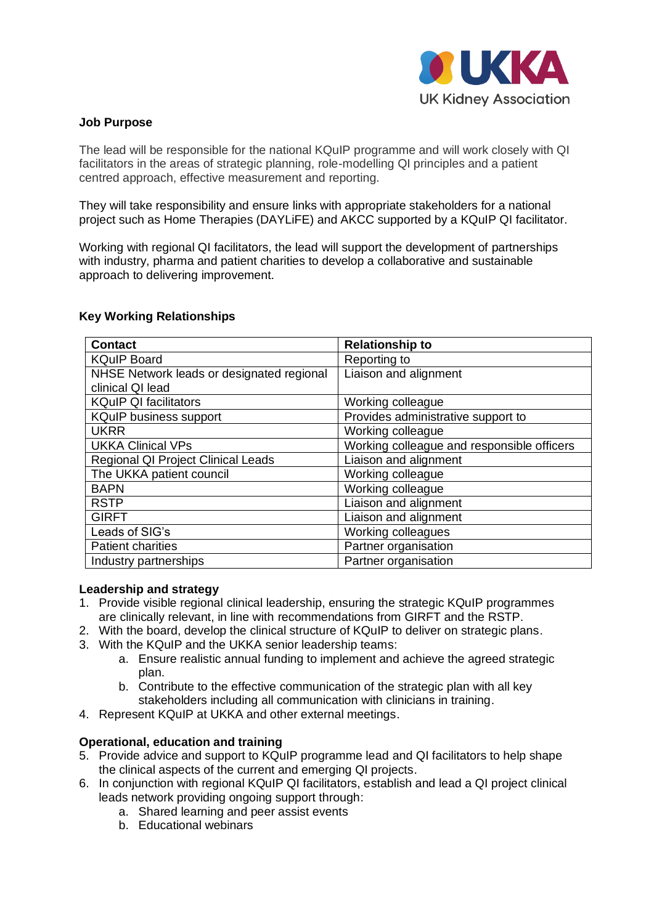

## **Job Purpose**

The lead will be responsible for the national KQuIP programme and will work closely with QI facilitators in the areas of strategic planning, role-modelling QI principles and a patient centred approach, effective measurement and reporting.

They will take responsibility and ensure links with appropriate stakeholders for a national project such as Home Therapies (DAYLiFE) and AKCC supported by a KQuIP QI facilitator.

Working with regional QI facilitators, the lead will support the development of partnerships with industry, pharma and patient charities to develop a collaborative and sustainable approach to delivering improvement.

## **Key Working Relationships**

| <b>Contact</b>                            | <b>Relationship to</b>                     |  |
|-------------------------------------------|--------------------------------------------|--|
| <b>KQuIP Board</b>                        | Reporting to                               |  |
| NHSE Network leads or designated regional | Liaison and alignment                      |  |
| clinical QI lead                          |                                            |  |
| <b>KQuIP QI facilitators</b>              | Working colleague                          |  |
| <b>KQuIP business support</b>             | Provides administrative support to         |  |
| <b>UKRR</b>                               | Working colleague                          |  |
| <b>UKKA Clinical VPs</b>                  | Working colleague and responsible officers |  |
| Regional QI Project Clinical Leads        | Liaison and alignment                      |  |
| The UKKA patient council                  | Working colleague                          |  |
| <b>BAPN</b>                               | Working colleague                          |  |
| <b>RSTP</b>                               | Liaison and alignment                      |  |
| <b>GIRFT</b>                              | Liaison and alignment                      |  |
| Leads of SIG's                            | Working colleagues                         |  |
| <b>Patient charities</b>                  | Partner organisation                       |  |
| Industry partnerships                     | Partner organisation                       |  |

### **Leadership and strategy**

- 1. Provide visible regional clinical leadership, ensuring the strategic KQuIP programmes are clinically relevant, in line with recommendations from GIRFT and the RSTP.
- 2. With the board, develop the clinical structure of KQuIP to deliver on strategic plans.
- 3. With the KQuIP and the UKKA senior leadership teams:
	- a. Ensure realistic annual funding to implement and achieve the agreed strategic plan.
	- b. Contribute to the effective communication of the strategic plan with all key stakeholders including all communication with clinicians in training.
- 4. Represent KQuIP at UKKA and other external meetings.

## **Operational, education and training**

- 5. Provide advice and support to KQuIP programme lead and QI facilitators to help shape the clinical aspects of the current and emerging QI projects.
- 6. In conjunction with regional KQuIP QI facilitators, establish and lead a QI project clinical leads network providing ongoing support through:
	- a. Shared learning and peer assist events
	- b. Educational webinars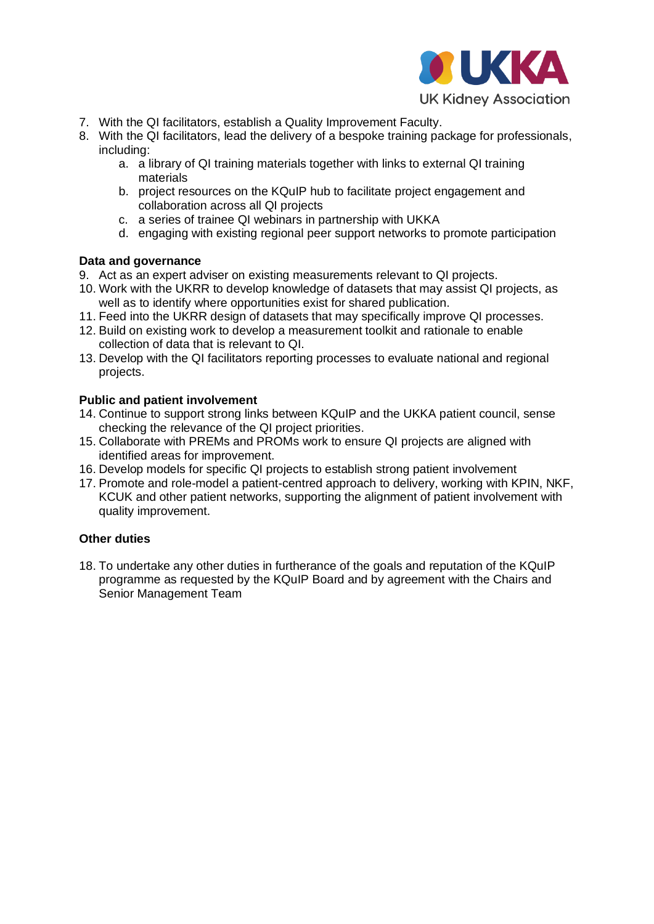

- 7. With the QI facilitators, establish a Quality Improvement Faculty.
- 8. With the QI facilitators, lead the delivery of a bespoke training package for professionals, including:
	- a. a library of QI training materials together with links to external QI training materials
	- b. project resources on the KQuIP hub to facilitate project engagement and collaboration across all QI projects
	- c. a series of trainee QI webinars in partnership with UKKA
	- d. engaging with existing regional peer support networks to promote participation

## **Data and governance**

- 9. Act as an expert adviser on existing measurements relevant to QI projects.
- 10. Work with the UKRR to develop knowledge of datasets that may assist QI projects, as well as to identify where opportunities exist for shared publication.
- 11. Feed into the UKRR design of datasets that may specifically improve QI processes.
- 12. Build on existing work to develop a measurement toolkit and rationale to enable collection of data that is relevant to QI.
- 13. Develop with the QI facilitators reporting processes to evaluate national and regional projects.

## **Public and patient involvement**

- 14. Continue to support strong links between KQuIP and the UKKA patient council, sense checking the relevance of the QI project priorities.
- 15. Collaborate with PREMs and PROMs work to ensure QI projects are aligned with identified areas for improvement.
- 16. Develop models for specific QI projects to establish strong patient involvement
- 17. Promote and role-model a patient-centred approach to delivery, working with KPIN, NKF, KCUK and other patient networks, supporting the alignment of patient involvement with quality improvement.

## **Other duties**

18. To undertake any other duties in furtherance of the goals and reputation of the KQuIP programme as requested by the KQuIP Board and by agreement with the Chairs and Senior Management Team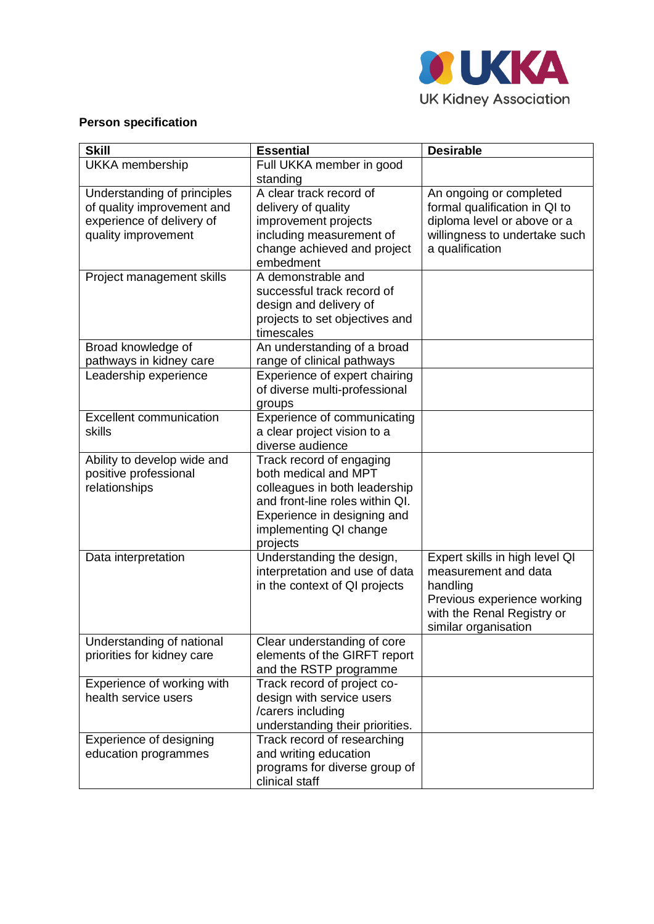

# **Person specification**

| <b>Skill</b>                                                                                                  | <b>Essential</b>                                                                                                                                                                          | <b>Desirable</b>                                                                                                                                        |
|---------------------------------------------------------------------------------------------------------------|-------------------------------------------------------------------------------------------------------------------------------------------------------------------------------------------|---------------------------------------------------------------------------------------------------------------------------------------------------------|
| <b>UKKA</b> membership                                                                                        | Full UKKA member in good<br>standing                                                                                                                                                      |                                                                                                                                                         |
| Understanding of principles<br>of quality improvement and<br>experience of delivery of<br>quality improvement | A clear track record of<br>delivery of quality<br>improvement projects<br>including measurement of<br>change achieved and project<br>embedment                                            | An ongoing or completed<br>formal qualification in QI to<br>diploma level or above or a<br>willingness to undertake such<br>a qualification             |
| Project management skills                                                                                     | A demonstrable and<br>successful track record of<br>design and delivery of<br>projects to set objectives and<br>timescales                                                                |                                                                                                                                                         |
| Broad knowledge of<br>pathways in kidney care                                                                 | An understanding of a broad<br>range of clinical pathways                                                                                                                                 |                                                                                                                                                         |
| Leadership experience                                                                                         | Experience of expert chairing<br>of diverse multi-professional<br>groups                                                                                                                  |                                                                                                                                                         |
| <b>Excellent communication</b><br>skills                                                                      | Experience of communicating<br>a clear project vision to a<br>diverse audience                                                                                                            |                                                                                                                                                         |
| Ability to develop wide and<br>positive professional<br>relationships                                         | Track record of engaging<br>both medical and MPT<br>colleagues in both leadership<br>and front-line roles within QI.<br>Experience in designing and<br>implementing QI change<br>projects |                                                                                                                                                         |
| Data interpretation                                                                                           | Understanding the design,<br>interpretation and use of data<br>in the context of QI projects                                                                                              | Expert skills in high level QI<br>measurement and data<br>handling<br>Previous experience working<br>with the Renal Registry or<br>similar organisation |
| Understanding of national<br>priorities for kidney care                                                       | Clear understanding of core<br>elements of the GIRFT report<br>and the RSTP programme                                                                                                     |                                                                                                                                                         |
| Experience of working with<br>health service users                                                            | Track record of project co-<br>design with service users<br>/carers including<br>understanding their priorities.                                                                          |                                                                                                                                                         |
| Experience of designing<br>education programmes                                                               | Track record of researching<br>and writing education<br>programs for diverse group of<br>clinical staff                                                                                   |                                                                                                                                                         |